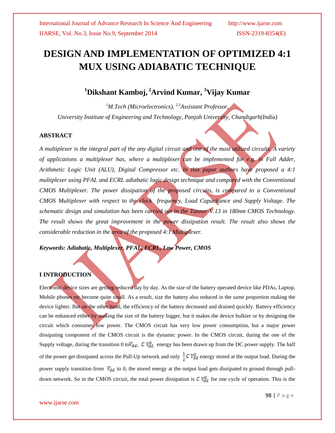# **DESIGN AND IMPLEMENTATION OF OPTIMIZED 4:1 MUX USING ADIABATIC TECHNIQUE**

# **<sup>1</sup>Dikshant Kamboj, <sup>2</sup>Arvind Kumar, <sup>3</sup>Vijay Kumar**

*<sup>1</sup>M.Tech (Microelectronics), 2,3Assistant Professor, University Institute of Engineering and Technology, Panjab University, Chandigarh(India)*

# **ABSTRACT**

*A multiplexer is the integral part of the any digital circuit and one of the most utilized circuits. A variety of applications a multiplexer has, where a multiplexer can be implemented for e.g. in Full Adder, Arithmetic Logic Unit (ALU), Digital Compressor etc. In this paper authors have proposed a 4:1 multiplexer using PFAL and ECRL adiabatic logic design technique and compared with the Conventional CMOS Multiplexer. The power dissipation of the proposed circuits, is compared to a Conventional CMOS Multiplexer with respect to the clock frequency, Load Capacitance and Supply Voltage. The schematic design and simulation has been carried out in the Tanner V.13 in 180nm CMOS Technology. The result shows the great improvement in the power dissipation result. The result also shows the considerable reduction in the area of the proposed 4:1 Multiplexer*.

*Keywords: Adiabatic, Multiplexer, PFAL, ECRL, Low Power, CMOS*

# **I INTRODUCTION**

Electronic device sizes are getting reduced day by day. As the size of the battery operated device like PDAs, Laptop, Mobile phones etc become quite small. As a result, size the battery also reduced in the same proportion making the device lighter. But on the other hand, the efficiency of the battery decreased and drained quickly. Battery efficiency can be enhanced either by making the size of the battery bigger, but it makes the device bulkier or by designing the circuit which consumes low power. The CMOS circuit has very low power consumption, but a major power dissipating component of the CMOS circuit is the dynamic power. In the CMOS circuit, during the one of the Supply voltage, during the transition 0 to  $V_{dd}$ , C  $V_{dd}^2$  energy has been drawn up from the DC power supply. The half of the power get dissipated across the Pull-Up network and only  $\frac{1}{2} C V_{dd}^2$  energy stored at the output load. During the power supply transition from  $V_{dd}$  to 0, the stored energy at the output load gets dissipated to ground through pulldown network. So in the CMOS circuit, the total power dissipation is  $C V_{dd}^2$  for one cycle of operation. This is the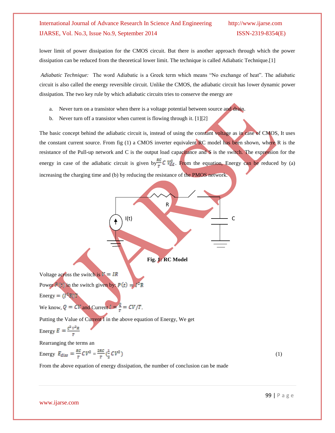lower limit of power dissipation for the CMOS circuit. But there is another approach through which the power dissipation can be reduced from the theoretical lower limit. The technique is called Adiabatic Technique.[1]

*Adiabatic Technique:* The word Adiabatic is a Greek term which means "No exchange of heat". The adiabatic circuit is also called the energy reversible circuit. Unlike the CMOS, the adiabatic circuit has lower dynamic power dissipation. The two key rule by which adiabatic circuits tries to conserve the energy are

- a. Never turn on a transistor when there is a voltage potential between source and drain.
- b. Never turn off a transistor when current is flowing through it. [1][2]

The basic concept behind the adiabatic circuit is, instead of using the constant voltage as in case of CMOS, It uses the constant current source. From fig (1) a CMOS inverter equivalent RC model has been shown, where R is the resistance of the Pull-up network and C is the output load capacitance and S is the switch. The expression for the energy in case of the adiabatic circuit is given by  $\frac{RC}{T}C V_{dd}^2$ . From the equation, Energy can be reduced by (a) increasing the charging time and (b) by reducing the resistance of the PMOS network.



From the above equation of energy dissipation, the number of conclusion can be made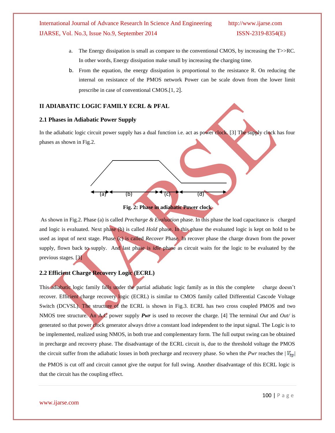- a. The Energy dissipation is small as compare to the conventional CMOS, by increasing the T>>RC. In other words, Energy dissipation make small by increasing the charging time.
- b. From the equation, the energy dissipation is proportional to the resistance R. On reducing the internal on resistance of the PMOS network Power can be scale down from the lower limit prescribe in case of conventional CMOS.[1, 2].

### **II ADIABATIC LOGIC FAMILY ECRL & PFAL**

#### **2.1 Phases in Adiabatic Power Supply**

In the adiabatic logic circuit power supply has a dual function i.e. act as power clock. [3] The supply clock has four phases as shown in Fig.2.



#### **Fig. 2: Phase in adiabatic Power clock**

As shown in Fig.2. Phase (a) is called *Precharge & Evaluation* phase. In this phase the load capacitance is charged and logic is evaluated. Next phase (b) is called *Hold* phase. In this phase the evaluated logic is kept on hold to be used as input of next stage. Phase (c) is called *Recover* Phase. In recover phase the charge drawn from the power supply, flown back to supply. And last phase is *idle* phase as circuit waits for the logic to be evaluated by the previous stages. [3]

# **2.2 Efficient Charge Recovery Logic (ECRL)**

This adiabatic logic family falls under the partial adiabatic logic family as in this the complete charge doesn't recover. Efficient charge recovery logic (ECRL) is similar to CMOS family called Differential Cascode Voltage Switch (DCVSL). The structure of the ECRL is shown in Fig.3. ECRL has two cross coupled PMOS and two NMOS tree structure. An A.C power supply *Pwr* is used to recover the charge. [4] The terminal *Out* and *Out/* is generated so that power clock generator always drive a constant load independent to the input signal. The Logic is to be implemented, realized using NMOS, in both true and complementary form. The full output swing can be obtained in precharge and recovery phase. The disadvantage of the ECRL circuit is, due to the threshold voltage the PMOS the circuit suffer from the adiabatic losses in both precharge and recovery phase. So when the *Pwr* reaches the  $|V_{tp}|$ the PMOS is cut off and circuit cannot give the output for full swing. Another disadvantage of this ECRL logic is that the circuit has the coupling effect.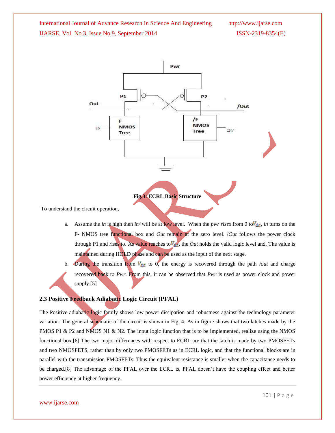

To understand the circuit operation,

- a. Assume the *in* is high then *in/* will be at low level. When the *pwr rises* from 0 to  $V_{dd}$ , *in* turns on the F- NMOS tree functional box and *Out* remain at the zero level. /*Out* follows the power clock through P1 and rises to. As value reaches to  $V_{dd}$ , the *Out* holds the valid logic level and. The value is maintained during HOLD phase and can be used as the input of the next stage.
- b. During the transition from  $V_{dd}$  to 0, the energy is recovered through the path */out* and charge recovered back to *Pwr.* From this, it can be observed that *Pwr* is used as power clock and power supply.[5]

# **2.3 Positive Feedback Adiabatic Logic Circuit (PFAL)**

The Positive adiabatic logic family shows low power dissipation and robustness against the technology parameter variation. The general schematic of the circuit is shown in Fig. 4. As in figure shows that two latches made by the PMOS P1 & P2 and NMOS N1 & N2. The input logic function that is to be implemented, realize using the NMOS functional box.[6] The two major differences with respect to ECRL are that the latch is made by two PMOSFETs and two NMOSFETS, rather than by only two PMOSFETs as in ECRL logic, and that the functional blocks are in parallel with the transmission PMOSFETs. Thus the equivalent resistance is smaller when the capacitance needs to be charged.[8] The advantage of the PFAL over the ECRL is, PFAL doesn't have the coupling effect and better power efficiency at higher frequency.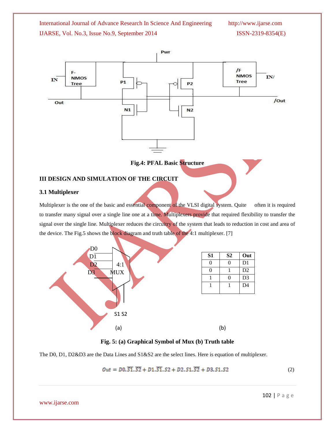

**Fig.4: PFAL Basic Structure**

# **III DESIGN AND SIMULATION OF THE CIRCUIT**

# **3.1 Multiplexer**

Multiplexer is the one of the basic and essential component of the VLSI digital system. Quite often it is required to transfer many signal over a single line one at a time. Multiplexers provide that required flexibility to transfer the signal over the single line. Multiplexer reduces the circuitry of the system that leads to reduction in cost and area of the device. The Fig.5 shows the block diagram and truth table of the 4:1 multiplexer. [7]



| S1 | S <sub>2</sub> | Out            |
|----|----------------|----------------|
| 0  | 0              | D <sub>1</sub> |
| 0  |                | D <sub>2</sub> |
|    | 0              | D <sub>3</sub> |
|    |                | D <sub>4</sub> |
|    |                |                |

**Fig. 5: (a) Graphical Symbol of Mux (b) Truth table** 

The D0, D1, D2&D3 are the Data Lines and S1&S2 are the select lines. Here is equation of multiplexer.

$$
Out = D0.\overline{S1}.\overline{S2} + D1.\overline{S1}.\overline{S2} + D2.\overline{S1}.\overline{S2} + D3.\overline{S1}.\overline{S2}
$$
 (2)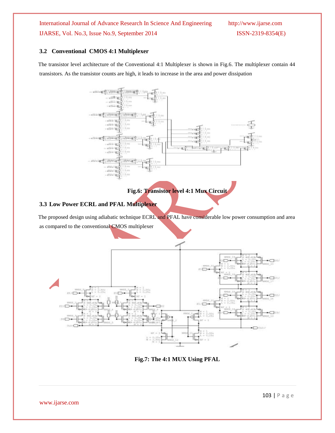# **3.2 Conventional CMOS 4:1 Multiplexer**

The transistor level architecture of the Conventional 4:1 Multiplexer is shown in Fig.6. The multiplexer contain 44 transistors. As the transistor counts are high, it leads to increase in the area and power dissipation



**Fig.6: Transistor level 4:1 Mux Circuit**

# **3.3 Low Power ECRL and PFAL Multiplexer**

The proposed design using adiabatic technique ECRL and PFAL have considerable low power consumption and area as compared to the conventional CMOS multiplexer



**Fig.7: The 4:1 MUX Using PFAL**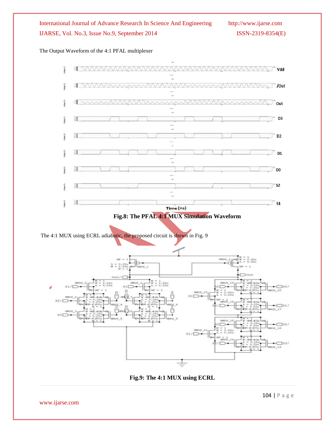# The Output Waveform of the 4:1 PFAL multiplexer





www.ijarse.com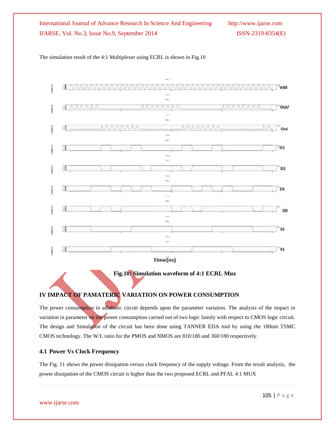



 **Fig.10: Simulation waveform of 4:1 ECRL Mux**

# **IV IMPACT OF PAMATERIC VARIATION ON POWER CONSUMPTION**

The power consumption in adiabatic circuit depends upon the parameter variation. The analysis of the impact in variation in parameter on the power consumption carried out of two logic family with respect to CMOS logic circuit. The design and Simulation of the circuit has been done using TANNER EDA tool by using the 180nm TSMC CMOS technology. The W/L ratio for the PMOS and NMOS are 810/180 and 360/180 respectively.

# **4.1 Power Vs Clock Frequency**

The Fig. 11 shows the power dissipation versus clock frequency of the supply voltage. From the result analysis, the power dissipation of the CMOS circuit is higher than the two proposed ECRL and PFAL 4:1 MUX

www.ijarse.com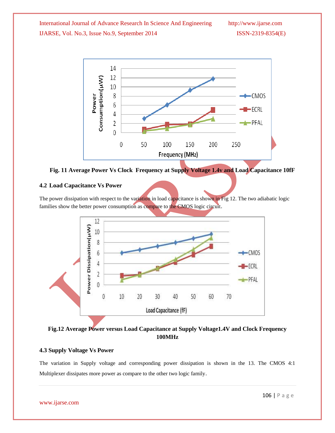

**Fig. 11 Average Power Vs Clock Frequency at Supply Voltage 1.4v and Load Capacitance 10fF**

# **4.2 Load Capacitance Vs Power**

The power dissipation with respect to the variation in load capacitance is shown in Fig 12. The two adiabatic logic families show the better power consumption as compare to the CMOS logic circuit.



# **Fig.12 Average Power versus Load Capacitance at Supply Voltage1.4V and Clock Frequency 100MHz**

# **4.3 Supply Voltage Vs Power**

The variation in Supply voltage and corresponding power dissipation is shown in the 13. The CMOS 4:1 Multiplexer dissipates more power as compare to the other two logic family.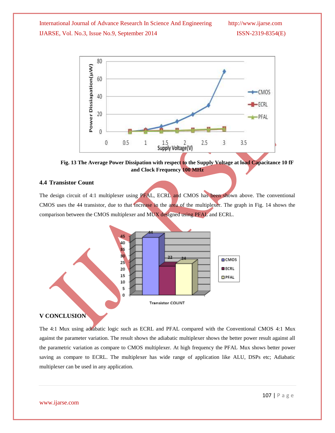

**Fig. 13 The Average Power Dissipation with respect to the Supply Voltage at load Capacitance 10 fF and Clock Frequency 100 MHz**

# **4.4 Transistor Count**

The design circuit of 4:1 multiplexer using PFAL, ECRL and CMOS has been shown above. The conventional CMOS uses the 44 transistor, due to that increase in the area of the multiplexer. The graph in Fig. 14 shows the comparison between the CMOS multiplexer and MUX designed using PFAL and ECRL.



# **V CONCLUSION**

The 4:1 Mux using adiabatic logic such as ECRL and PFAL compared with the Conventional CMOS 4:1 Mux against the parameter variation. The result shows the adiabatic multiplexer shows the better power result against all the parametric variation as compare to CMOS multiplexer. At high frequency the PFAL Mux shows better power saving as compare to ECRL. The multiplexer has wide range of application like ALU, DSPs etc; Adiabatic multiplexer can be used in any application.